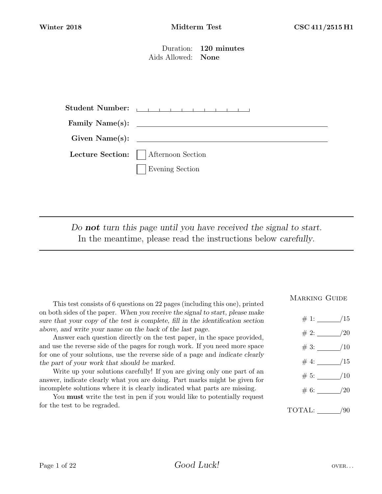Duration: 120 minutes Aids Allowed: None

| <b>Student Number:</b> | the contract of the contract of the contract of the |
|------------------------|-----------------------------------------------------|
|                        |                                                     |
| Given Name(s):         |                                                     |
|                        | Lecture Section:     Afternoon Section              |
|                        | <b>Evening Section</b>                              |

Do **not** turn this page until you have received the signal to start. In the meantime, please read the instructions below carefully.

This test consists of 6 questions on 22 pages (including this one), printed on both sides of the paper. When you receive the signal to start, please make sure that your copy of the test is complete, fill in the identification section above, and write your name on the back of the last page.

Answer each question directly on the test paper, in the space provided, and use the reverse side of the pages for rough work. If you need more space for one of your solutions, use the reverse side of a page and indicate clearly the part of your work that should be marked.

Write up your solutions carefully! If you are giving only one part of an answer, indicate clearly what you are doing. Part marks might be given for incomplete solutions where it is clearly indicated what parts are missing.

You must write the test in pen if you would like to potentially request for the test to be regraded.

#### MARKING GUIDE

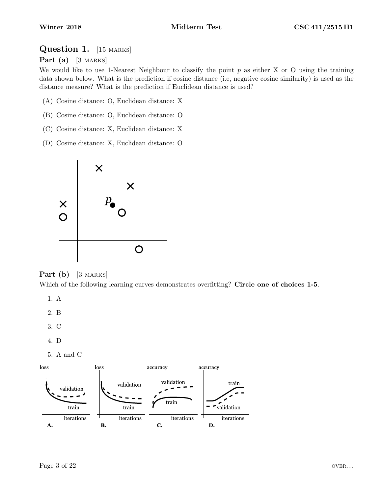### Question 1. [15 MARKS]

Part (a)  $[3 \text{ MARKS}]$ 

We would like to use 1-Nearest Neighbour to classify the point  $p$  as either X or O using the training data shown below. What is the prediction if cosine distance (i.e, negative cosine similarity) is used as the distance measure? What is the prediction if Euclidean distance is used?

- (A) Cosine distance: O, Euclidean distance: X
- (B) Cosine distance: O, Euclidean distance: O
- (C) Cosine distance: X, Euclidean distance: X
- (D) Cosine distance: X, Euclidean distance: O



#### **Part** (b)  $[3 \text{ MARKS}]$

Which of the following learning curves demonstrates overfitting? Circle one of choices 1-5.

- 1. A
- 2. B
- 3. C
- 4. D
- 5. A and C

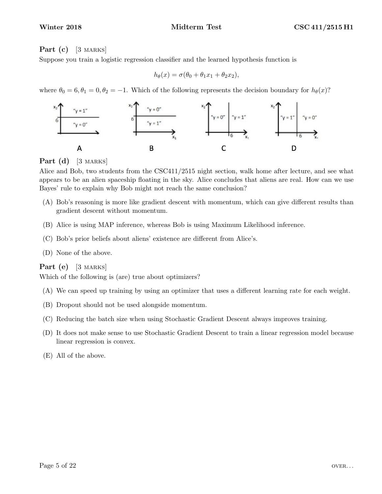#### **Part** (c)  $\begin{bmatrix} 3 \text{ Marks} \end{bmatrix}$

Suppose you train a logistic regression classifier and the learned hypothesis function is

$$
h_{\theta}(x) = \sigma(\theta_0 + \theta_1 x_1 + \theta_2 x_2),
$$

where  $\theta_0 = 6, \theta_1 = 0, \theta_2 = -1$ . Which of the following represents the decision boundary for  $h_\theta(x)$ ?



**Part** (d)  $[3$  MARKS

Alice and Bob, two students from the CSC411/2515 night section, walk home after lecture, and see what appears to be an alien spaceship floating in the sky. Alice concludes that aliens are real. How can we use Bayes' rule to explain why Bob might not reach the same conclusion?

- (A) Bob's reasoning is more like gradient descent with momentum, which can give different results than gradient descent without momentum.
- (B) Alice is using MAP inference, whereas Bob is using Maximum Likelihood inference.
- (C) Bob's prior beliefs about aliens' existence are different from Alice's.
- (D) None of the above.

#### Part  $(e)$  [3 MARKS]

Which of the following is (are) true about optimizers?

- (A) We can speed up training by using an optimizer that uses a different learning rate for each weight.
- (B) Dropout should not be used alongside momentum.
- (C) Reducing the batch size when using Stochastic Gradient Descent always improves training.
- (D) It does not make sense to use Stochastic Gradient Descent to train a linear regression model because linear regression is convex.

(E) All of the above.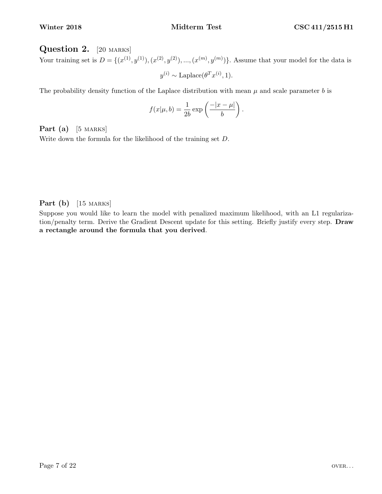### Question 2. [20 MARKS]

Your training set is  $D = \{ (x^{(1)}, y^{(1)}), (x^{(2)}, y^{(2)}), ..., (x^{(m)}, y^{(m)}) \}$ . Assume that your model for the data is  $y^{(i)} \sim \text{Laplace}(\theta^T x^{(i)}, 1).$ 

The probability density function of the Laplace distribution with mean  $\mu$  and scale parameter b is

$$
f(x|\mu, b) = \frac{1}{2b} \exp\left(\frac{-|x-\mu|}{b}\right).
$$

Part  $(a)$  [5 MARKS]

Write down the formula for the likelihood of the training set D.

Part  $(b)$  [15 MARKS]

Suppose you would like to learn the model with penalized maximum likelihood, with an L1 regularization/penalty term. Derive the Gradient Descent update for this setting. Briefly justify every step. Draw a rectangle around the formula that you derived.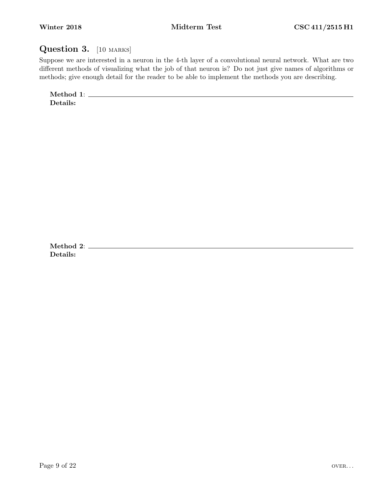## Question 3. [10 MARKS]

Suppose we are interested in a neuron in the 4-th layer of a convolutional neural network. What are two different methods of visualizing what the job of that neuron is? Do not just give names of algorithms or methods; give enough detail for the reader to be able to implement the methods you are describing.

Method 1: Details:

Method 2: Details: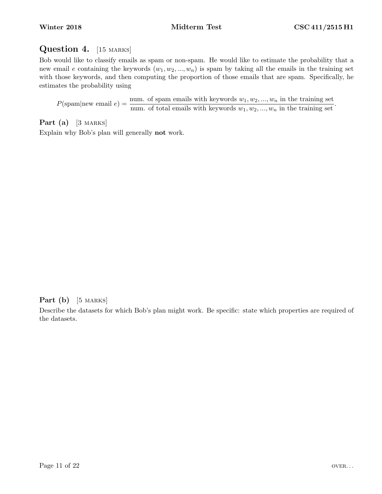# Question 4. [15 MARKS]

Bob would like to classify emails as spam or non-spam. He would like to estimate the probability that a new email e containing the keywords  $(w_1, w_2, ..., w_n)$  is spam by taking all the emails in the training set with those keywords, and then computing the proportion of those emails that are spam. Specifically, he estimates the probability using

 $P(\text{spam}|\text{new email } e) = \frac{\text{num. of spam emails with keywords } w_1, w_2, ..., w_n \text{ in the training set}}{\text{num. of total emails with keywords } w_1, w_2, ..., w_n \text{ in the training set}}.$ 

**Part** (a)  $[3 \text{ Marks}]$ 

Explain why Bob's plan will generally not work.

### **Part** (b) [5 MARKS]

Describe the datasets for which Bob's plan might work. Be specific: state which properties are required of the datasets.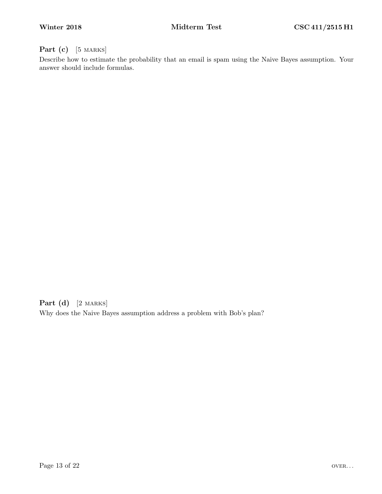### Part (c) [5 MARKS]

Describe how to estimate the probability that an email is spam using the Naive Bayes assumption. Your answer should include formulas.

Part (d) [2 MARKS] Why does the Naive Bayes assumption address a problem with Bob's plan?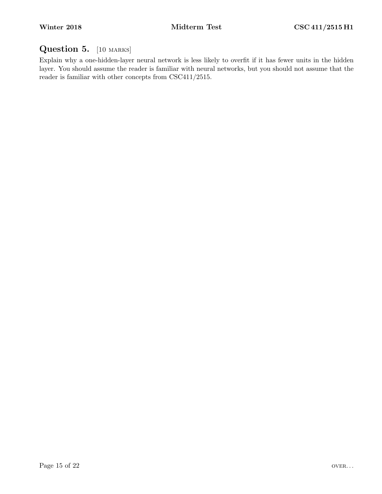# Question 5. [10 MARKS]

Explain why a one-hidden-layer neural network is less likely to overfit if it has fewer units in the hidden layer. You should assume the reader is familiar with neural networks, but you should not assume that the reader is familiar with other concepts from CSC411/2515.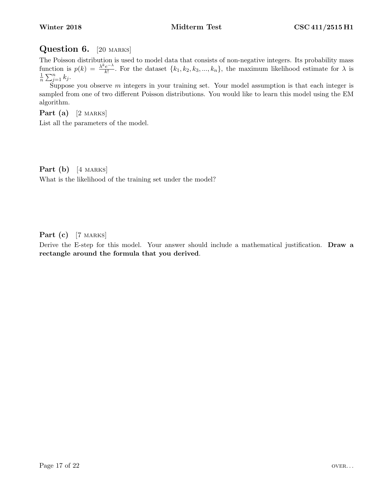## Question 6. [20 MARKS]

The Poisson distribution is used to model data that consists of non-negative integers. Its probability mass function is  $p(k) = \frac{\lambda^k e^{-\lambda}}{k!}$  $\frac{e^{-\lambda}}{k!}$ . For the dataset  $\{k_1, k_2, k_3, ..., k_n\}$ , the maximum likelihood estimate for  $\lambda$  is 1  $\frac{1}{n}\sum_{j=1}^n k_j.$ 

Suppose you observe  $m$  integers in your training set. Your model assumption is that each integer is sampled from one of two different Poisson distributions. You would like to learn this model using the EM algorithm.

Part  $(a)$  [2 MARKS]

List all the parameters of the model.

**Part** (b)  $[4$  MARKS] What is the likelihood of the training set under the model?

Part  $(c)$  [7 MARKS]

Derive the E-step for this model. Your answer should include a mathematical justification. **Draw a** rectangle around the formula that you derived.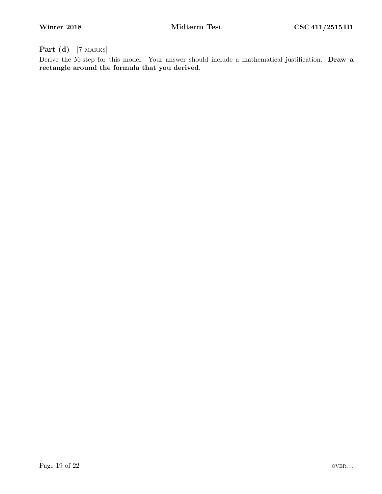Part (d) [7 MARKS]

Derive the M-step for this model. Your answer should include a mathematical justification. Draw a rectangle around the formula that you derived.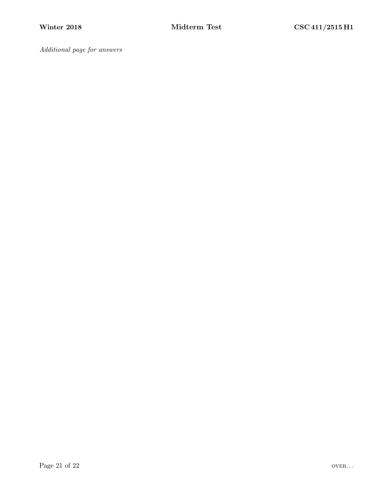Additional page for answers